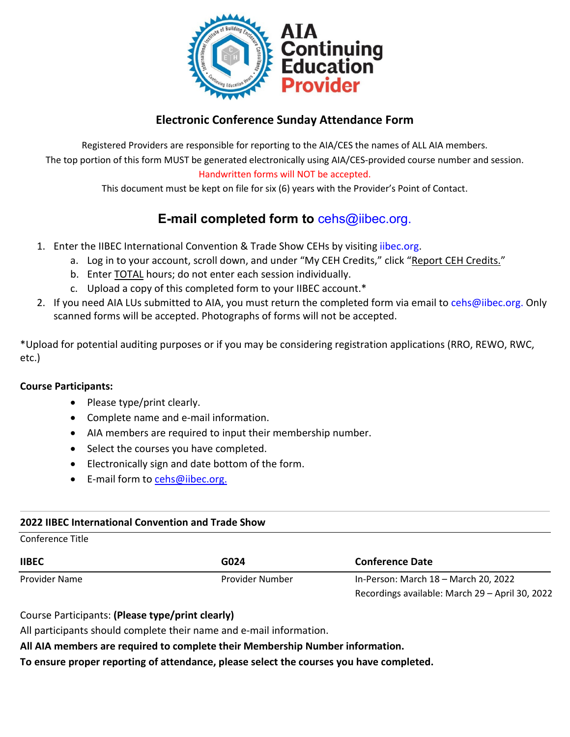

# **Electronic Conference Sunday Attendance Form**

Registered Providers are responsible for reporting to the AIA/CES the names of ALL AIA members. The top portion of this form MUST be generated electronically using AIA/CES-provided course number and session. Handwritten forms will NOT be accepted.

This document must be kept on file for six (6) years with the Provider's Point of Contact.

# **E-mail completed form to** [cehs@iibec.org.](mailto:cehs@iibec.org)

- 1. Enter the IIBEC International Convention & Trade Show CEHs by visiting [iibec.org.](https://iibec.org/login/)
	- a. Log in to your account, scroll down, and under "My CEH Credits," click "Report CEH Credits."
	- b. Enter TOTAL hours; do not enter each session individually.
	- c. Upload a copy of this completed form to your IIBEC account.\*
- 2. If you need AIA LUs submitted to AIA, you must return the completed form via email t[o cehs@iibec.org.](mailto:cehs@iibec.org) Only scanned forms will be accepted. Photographs of forms will not be accepted.

\*Upload for potential auditing purposes or if you may be considering registration applications (RRO, REWO, RWC, etc.)

#### **Course Participants:**

- Please type/print clearly.
- Complete name and e-mail information.
- AIA members are required to input their membership number.
- Select the courses you have completed.
- Electronically sign and date bottom of the form.
- E-mail form to [cehs@iibec.org.](mailto:cehs@iibec.org)

#### **2022 IIBEC International Convention and Trade Show**

Conference Title

| <b>IIBEC</b>  | G024            | <b>Conference Date</b>                          |  |  |
|---------------|-----------------|-------------------------------------------------|--|--|
| Provider Name | Provider Number | In-Person: March 18 - March 20, 2022            |  |  |
|               |                 | Recordings available: March 29 - April 30, 2022 |  |  |

Course Participants: **(Please type/print clearly)** 

All participants should complete their name and e-mail information.

**All AIA members are required to complete their Membership Number information.**

**To ensure proper reporting of attendance, please select the courses you have completed.**